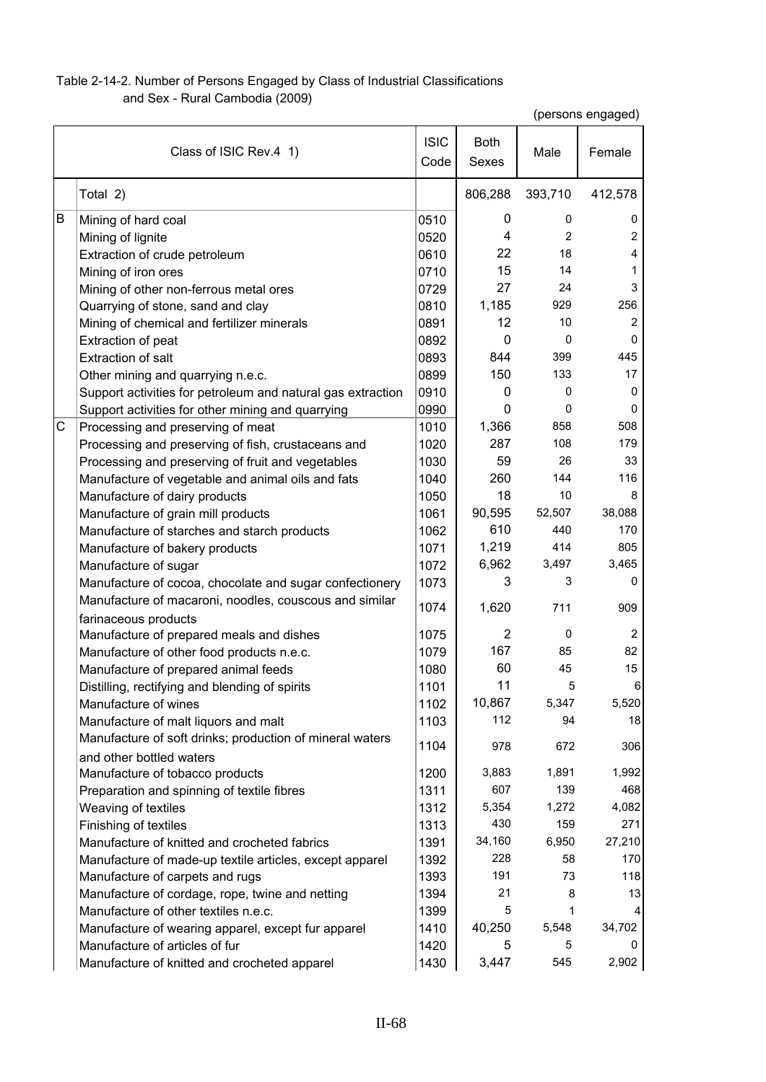## Table 2-14-2. Number of Persons Engaged by Class of Industrial Classifications

and Sex - Rural Cambodia (2009)

(persons engaged)

|   | Class of ISIC Rev.4 1)                                      | <b>ISIC</b><br>Code | <b>Both</b><br>Sexes | Male           | Female         |
|---|-------------------------------------------------------------|---------------------|----------------------|----------------|----------------|
|   | Total 2)                                                    |                     | 806,288              | 393,710        | 412,578        |
| B | Mining of hard coal                                         | 0510                | 0                    | 0              | 0              |
|   | Mining of lignite                                           | 0520                | 4                    | $\overline{2}$ | $\overline{2}$ |
|   | Extraction of crude petroleum                               | 0610                | 22                   | 18             | $\overline{4}$ |
|   | Mining of iron ores                                         | 0710                | 15                   | 14             | 1              |
|   | Mining of other non-ferrous metal ores                      | 0729                | 27                   | 24             | 3              |
|   | Quarrying of stone, sand and clay                           | 0810                | 1,185                | 929            | 256            |
|   | Mining of chemical and fertilizer minerals                  | 0891                | 12                   | 10             | 2              |
|   | Extraction of peat                                          | 0892                | 0                    | 0              | 0              |
|   | <b>Extraction of salt</b>                                   | 0893                | 844                  | 399            | 445            |
|   | Other mining and quarrying n.e.c.                           | 0899                | 150                  | 133            | 17             |
|   | Support activities for petroleum and natural gas extraction | 0910                | 0                    | 0              | 0              |
|   | Support activities for other mining and quarrying           | 0990                | 0                    | 0              | 0              |
| С | Processing and preserving of meat                           | 1010                | 1,366                | 858            | 508            |
|   | Processing and preserving of fish, crustaceans and          | 1020                | 287                  | 108            | 179            |
|   | Processing and preserving of fruit and vegetables           | 1030                | 59                   | 26             | 33             |
|   | Manufacture of vegetable and animal oils and fats           | 1040                | 260                  | 144            | 116            |
|   | Manufacture of dairy products                               | 1050                | 18                   | 10             | 8              |
|   | Manufacture of grain mill products                          | 1061                | 90,595               | 52,507         | 38,088         |
|   | Manufacture of starches and starch products                 | 1062                | 610                  | 440            | 170            |
|   | Manufacture of bakery products                              | 1071                | 1,219                | 414            | 805            |
|   | Manufacture of sugar                                        | 1072                | 6,962                | 3,497          | 3,465          |
|   | Manufacture of cocoa, chocolate and sugar confectionery     | 1073                | 3                    | 3              | 0              |
|   | Manufacture of macaroni, noodles, couscous and similar      | 1074                | 1,620                | 711            | 909            |
|   | farinaceous products                                        |                     |                      |                |                |
|   | Manufacture of prepared meals and dishes                    | 1075                | $\overline{2}$       | 0              | $\overline{c}$ |
|   | Manufacture of other food products n.e.c.                   | 1079                | 167                  | 85             | 82             |
|   | Manufacture of prepared animal feeds                        | 1080                | 60                   | 45             | 15             |
|   | Distilling, rectifying and blending of spirits              | 1101                | 11                   | 5              | 6              |
|   | Manufacture of wines                                        | 1102                | 10,867               | 5,347          | 5,520          |
|   | Manufacture of malt liquors and malt                        | 1103                | 112                  | 94             | 18             |
|   | Manufacture of soft drinks; production of mineral waters    | 1104                | 978                  | 672            | 306            |
|   | and other bottled waters                                    |                     |                      |                |                |
|   | Manufacture of tobacco products                             | 1200                | 3,883                | 1,891          | 1,992          |
|   | Preparation and spinning of textile fibres                  | 1311                | 607                  | 139            | 468            |
|   | Weaving of textiles                                         | 1312                | 5,354                | 1,272          | 4,082          |
|   | Finishing of textiles                                       | 1313                | 430                  | 159            | 271            |
|   | Manufacture of knitted and crocheted fabrics                | 1391                | 34,160               | 6,950          | 27,210         |
|   | Manufacture of made-up textile articles, except apparel     | 1392                | 228                  | 58             | 170            |
|   | Manufacture of carpets and rugs                             | 1393                | 191                  | 73             | 118            |
|   | Manufacture of cordage, rope, twine and netting             | 1394                | 21                   | 8              | 13             |
|   | Manufacture of other textiles n.e.c.                        | 1399                | 5                    | 1              | 4              |
|   | Manufacture of wearing apparel, except fur apparel          | 1410                | 40,250               | 5,548          | 34,702         |
|   | Manufacture of articles of fur                              | 1420                | 5                    | 5              | 0              |
|   | Manufacture of knitted and crocheted apparel                | 1430                | 3,447                | 545            | 2,902          |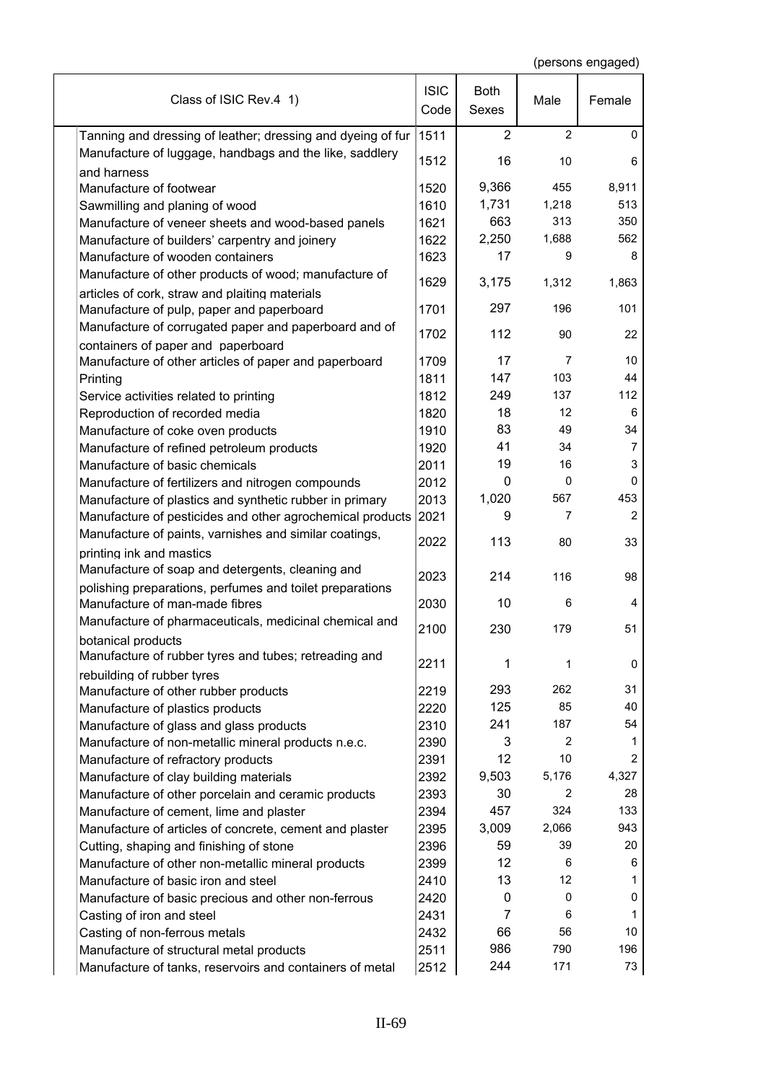| Class of ISIC Rev.4 1)                                                 | <b>ISIC</b><br>Code | <b>Both</b><br>Sexes | Male           | Female         |
|------------------------------------------------------------------------|---------------------|----------------------|----------------|----------------|
| Tanning and dressing of leather; dressing and dyeing of fur            | 1511                | $\overline{2}$       | $\overline{2}$ | $\mathbf 0$    |
| Manufacture of luggage, handbags and the like, saddlery<br>and harness | 1512                | 16                   | 10             | 6              |
| Manufacture of footwear                                                | 1520                | 9,366                | 455            | 8,911          |
| Sawmilling and planing of wood                                         | 1610                | 1,731                | 1,218          | 513            |
| Manufacture of veneer sheets and wood-based panels                     | 1621                | 663                  | 313            | 350            |
| Manufacture of builders' carpentry and joinery                         | 1622                | 2,250                | 1,688          | 562            |
| Manufacture of wooden containers                                       | 1623                | 17                   | 9              | 8              |
| Manufacture of other products of wood; manufacture of                  |                     |                      |                |                |
| articles of cork, straw and plaiting materials                         | 1629                | 3,175                | 1,312          | 1,863          |
| Manufacture of pulp, paper and paperboard                              | 1701                | 297                  | 196            | 101            |
| Manufacture of corrugated paper and paperboard and of                  |                     |                      |                |                |
| containers of paper and paperboard                                     | 1702                | 112                  | 90             | 22             |
| Manufacture of other articles of paper and paperboard                  | 1709                | 17                   | 7              | 10             |
| Printing                                                               | 1811                | 147                  | 103            | 44             |
| Service activities related to printing                                 | 1812                | 249                  | 137            | 112            |
| Reproduction of recorded media                                         | 1820                | 18                   | 12             | 6              |
| Manufacture of coke oven products                                      | 1910                | 83                   | 49             | 34             |
| Manufacture of refined petroleum products                              | 1920                | 41                   | 34             | 7              |
| Manufacture of basic chemicals                                         | 2011                | 19                   | 16             | 3              |
| Manufacture of fertilizers and nitrogen compounds                      | 2012                | 0                    | 0              | 0              |
| Manufacture of plastics and synthetic rubber in primary                | 2013                | 1,020                | 567            | 453            |
| Manufacture of pesticides and other agrochemical products              | 2021                | 9                    | 7              | $\overline{c}$ |
| Manufacture of paints, varnishes and similar coatings,                 |                     |                      |                |                |
| printing ink and mastics                                               | 2022                | 113                  | 80             | 33             |
| Manufacture of soap and detergents, cleaning and                       |                     |                      |                |                |
| polishing preparations, perfumes and toilet preparations               | 2023                | 214                  | 116            | 98             |
| Manufacture of man-made fibres                                         | 2030                | 10                   | 6              | 4              |
| Manufacture of pharmaceuticals, medicinal chemical and                 |                     |                      |                |                |
| botanical products                                                     | 2100                | 230                  | 179            | 51             |
| Manufacture of rubber tyres and tubes; retreading and                  | 2211                |                      |                |                |
| rebuilding of rubber tyres                                             |                     | 1                    | 1              | 0              |
| Manufacture of other rubber products                                   | 2219                | 293                  | 262            | 31             |
| Manufacture of plastics products                                       | 2220                | 125                  | 85             | 40             |
| Manufacture of glass and glass products                                | 2310                | 241                  | 187            | 54             |
| Manufacture of non-metallic mineral products n.e.c.                    | 2390                | 3                    | 2              | 1              |
| Manufacture of refractory products                                     | 2391                | 12                   | 10             | $\overline{2}$ |
| Manufacture of clay building materials                                 | 2392                | 9,503                | 5,176          | 4,327          |
| Manufacture of other porcelain and ceramic products                    | 2393                | 30                   | 2              | 28             |
| Manufacture of cement, lime and plaster                                | 2394                | 457                  | 324            | 133            |
| Manufacture of articles of concrete, cement and plaster                | 2395                | 3,009                | 2,066          | 943            |
| Cutting, shaping and finishing of stone                                | 2396                | 59                   | 39             | 20             |
| Manufacture of other non-metallic mineral products                     | 2399                | 12                   | 6              | 6              |
| Manufacture of basic iron and steel                                    | 2410                | 13                   | 12             | 1              |
| Manufacture of basic precious and other non-ferrous                    | 2420                | 0                    | 0              | 0              |
| Casting of iron and steel                                              | 2431                | $\overline{7}$       | 6              | 1              |
| Casting of non-ferrous metals                                          | 2432                | 66                   | 56             | 10             |
| Manufacture of structural metal products                               | 2511                | 986                  | 790            | 196            |
| Manufacture of tanks, reservoirs and containers of metal               | 2512                | 244                  | 171            | 73             |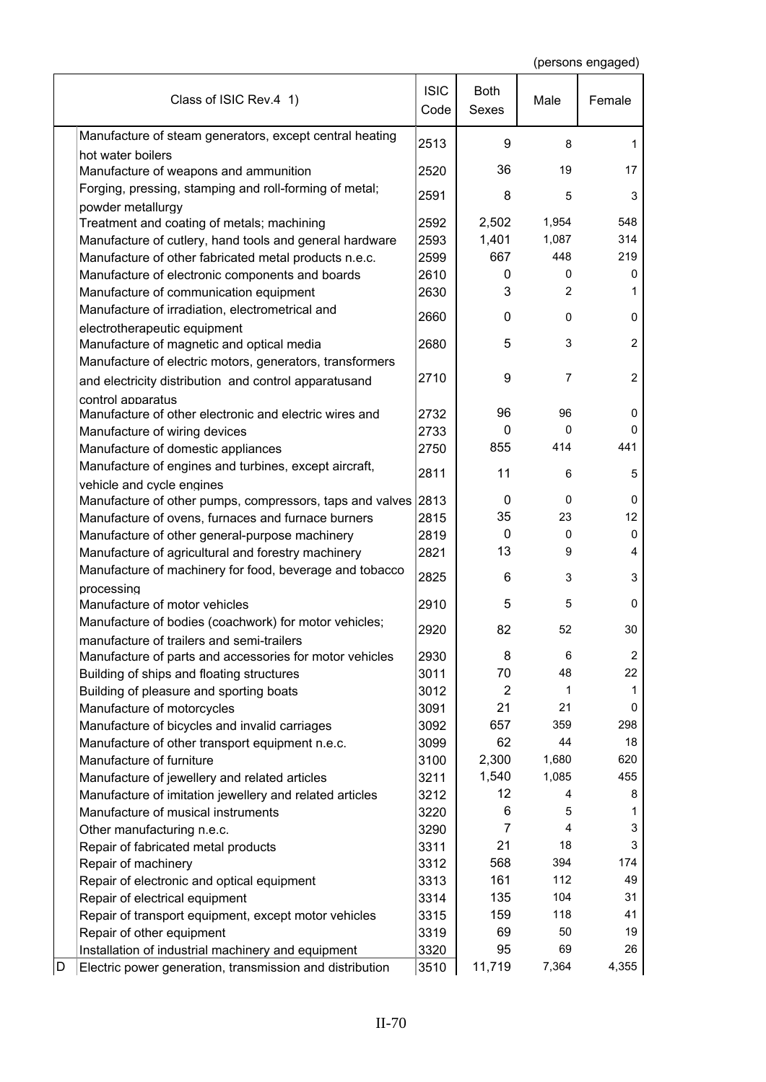| Manufacture of steam generators, except central heating<br>2513<br>9<br>8<br>1<br>hot water boilers<br>36<br>19<br>17<br>2520<br>Manufacture of weapons and ammunition<br>Forging, pressing, stamping and roll-forming of metal;<br>2591<br>8<br>5<br>3<br>powder metallurgy<br>1,954<br>548<br>2592<br>2,502<br>Treatment and coating of metals; machining<br>1,401<br>1,087<br>314<br>2593<br>Manufacture of cutlery, hand tools and general hardware<br>667<br>448<br>219<br>2599<br>Manufacture of other fabricated metal products n.e.c.<br>2610<br>0<br>0<br>0<br>Manufacture of electronic components and boards<br>3<br>$\overline{2}$<br>2630<br>Manufacture of communication equipment<br>1<br>Manufacture of irradiation, electrometrical and<br>2660<br>$\mathbf{0}$<br>0<br>0<br>electrotherapeutic equipment<br>$\overline{c}$<br>5<br>3<br>2680<br>Manufacture of magnetic and optical media<br>Manufacture of electric motors, generators, transformers<br>9<br>$\overline{2}$<br>2710<br>7<br>and electricity distribution and control apparatusand<br>control apparatus<br>96<br>Manufacture of other electronic and electric wires and<br>96<br>0<br>2732<br>0<br>2733<br>0<br>0<br>Manufacture of wiring devices<br>414<br>441<br>855<br>Manufacture of domestic appliances<br>2750<br>Manufacture of engines and turbines, except aircraft,<br>2811<br>11<br>6<br>5<br>vehicle and cycle engines<br>0<br>0<br>Manufacture of other pumps, compressors, taps and valves 2813<br>0<br>23<br>12<br>2815<br>35<br>Manufacture of ovens, furnaces and furnace burners<br>2819<br>0<br>0<br>0<br>Manufacture of other general-purpose machinery<br>13<br>2821<br>9<br>Manufacture of agricultural and forestry machinery<br>4<br>Manufacture of machinery for food, beverage and tobacco<br>2825<br>3<br>3<br>6<br>processing<br>5<br>5<br>Manufacture of motor vehicles<br>0<br>2910<br>Manufacture of bodies (coachwork) for motor vehicles;<br>82<br>2920<br>52<br>30<br>manufacture of trailers and semi-trailers<br>$\overline{\mathbf{c}}$<br>2930<br>6<br>8<br>Manufacture of parts and accessories for motor vehicles<br>70<br>22<br>3011<br>48<br>Building of ships and floating structures<br>$\overline{2}$<br>3012<br>1<br>Building of pleasure and sporting boats<br>1<br>21<br>21<br>Manufacture of motorcycles<br>3091<br>0<br>657<br>359<br>298<br>Manufacture of bicycles and invalid carriages<br>3092<br>62<br>44<br>3099<br>18<br>Manufacture of other transport equipment n.e.c.<br>2,300<br>1,680<br>620<br>Manufacture of furniture<br>3100<br>1,540<br>1,085<br>455<br>Manufacture of jewellery and related articles<br>3211<br>12<br>3212<br>4<br>8<br>Manufacture of imitation jewellery and related articles<br>Manufacture of musical instruments<br>3220<br>6<br>5<br>1<br>7<br>$\overline{4}$<br>3<br>3290<br>Other manufacturing n.e.c.<br>21<br>3<br>18<br>3311<br>Repair of fabricated metal products<br>568<br>394<br>174<br>Repair of machinery<br>3312<br>161<br>112<br>49<br>3313<br>Repair of electronic and optical equipment<br>104<br>135<br>31<br>Repair of electrical equipment<br>3314<br>159<br>118<br>41<br>3315<br>Repair of transport equipment, except motor vehicles<br>69<br>50<br>Repair of other equipment<br>3319<br>19<br>95<br>26<br>Installation of industrial machinery and equipment<br>3320<br>69<br>D<br>11,719<br>7,364<br>4,355<br>3510<br>Electric power generation, transmission and distribution | Class of ISIC Rev.4 1) | <b>ISIC</b><br>Code | <b>Both</b><br>Sexes | Male | Female |
|-----------------------------------------------------------------------------------------------------------------------------------------------------------------------------------------------------------------------------------------------------------------------------------------------------------------------------------------------------------------------------------------------------------------------------------------------------------------------------------------------------------------------------------------------------------------------------------------------------------------------------------------------------------------------------------------------------------------------------------------------------------------------------------------------------------------------------------------------------------------------------------------------------------------------------------------------------------------------------------------------------------------------------------------------------------------------------------------------------------------------------------------------------------------------------------------------------------------------------------------------------------------------------------------------------------------------------------------------------------------------------------------------------------------------------------------------------------------------------------------------------------------------------------------------------------------------------------------------------------------------------------------------------------------------------------------------------------------------------------------------------------------------------------------------------------------------------------------------------------------------------------------------------------------------------------------------------------------------------------------------------------------------------------------------------------------------------------------------------------------------------------------------------------------------------------------------------------------------------------------------------------------------------------------------------------------------------------------------------------------------------------------------------------------------------------------------------------------------------------------------------------------------------------------------------------------------------------------------------------------------------------------------------------------------------------------------------------------------------------------------------------------------------------------------------------------------------------------------------------------------------------------------------------------------------------------------------------------------------------------------------------------------------------------------------------------------------------------------------------------------------------------------------------------------------------------------------------------------------------------------------------------------------------------------------------------------------------------------------------------------------------------------------------------------------------------------------------------------------------|------------------------|---------------------|----------------------|------|--------|
|                                                                                                                                                                                                                                                                                                                                                                                                                                                                                                                                                                                                                                                                                                                                                                                                                                                                                                                                                                                                                                                                                                                                                                                                                                                                                                                                                                                                                                                                                                                                                                                                                                                                                                                                                                                                                                                                                                                                                                                                                                                                                                                                                                                                                                                                                                                                                                                                                                                                                                                                                                                                                                                                                                                                                                                                                                                                                                                                                                                                                                                                                                                                                                                                                                                                                                                                                                                                                                                                                   |                        |                     |                      |      |        |
|                                                                                                                                                                                                                                                                                                                                                                                                                                                                                                                                                                                                                                                                                                                                                                                                                                                                                                                                                                                                                                                                                                                                                                                                                                                                                                                                                                                                                                                                                                                                                                                                                                                                                                                                                                                                                                                                                                                                                                                                                                                                                                                                                                                                                                                                                                                                                                                                                                                                                                                                                                                                                                                                                                                                                                                                                                                                                                                                                                                                                                                                                                                                                                                                                                                                                                                                                                                                                                                                                   |                        |                     |                      |      |        |
|                                                                                                                                                                                                                                                                                                                                                                                                                                                                                                                                                                                                                                                                                                                                                                                                                                                                                                                                                                                                                                                                                                                                                                                                                                                                                                                                                                                                                                                                                                                                                                                                                                                                                                                                                                                                                                                                                                                                                                                                                                                                                                                                                                                                                                                                                                                                                                                                                                                                                                                                                                                                                                                                                                                                                                                                                                                                                                                                                                                                                                                                                                                                                                                                                                                                                                                                                                                                                                                                                   |                        |                     |                      |      |        |
|                                                                                                                                                                                                                                                                                                                                                                                                                                                                                                                                                                                                                                                                                                                                                                                                                                                                                                                                                                                                                                                                                                                                                                                                                                                                                                                                                                                                                                                                                                                                                                                                                                                                                                                                                                                                                                                                                                                                                                                                                                                                                                                                                                                                                                                                                                                                                                                                                                                                                                                                                                                                                                                                                                                                                                                                                                                                                                                                                                                                                                                                                                                                                                                                                                                                                                                                                                                                                                                                                   |                        |                     |                      |      |        |
|                                                                                                                                                                                                                                                                                                                                                                                                                                                                                                                                                                                                                                                                                                                                                                                                                                                                                                                                                                                                                                                                                                                                                                                                                                                                                                                                                                                                                                                                                                                                                                                                                                                                                                                                                                                                                                                                                                                                                                                                                                                                                                                                                                                                                                                                                                                                                                                                                                                                                                                                                                                                                                                                                                                                                                                                                                                                                                                                                                                                                                                                                                                                                                                                                                                                                                                                                                                                                                                                                   |                        |                     |                      |      |        |
|                                                                                                                                                                                                                                                                                                                                                                                                                                                                                                                                                                                                                                                                                                                                                                                                                                                                                                                                                                                                                                                                                                                                                                                                                                                                                                                                                                                                                                                                                                                                                                                                                                                                                                                                                                                                                                                                                                                                                                                                                                                                                                                                                                                                                                                                                                                                                                                                                                                                                                                                                                                                                                                                                                                                                                                                                                                                                                                                                                                                                                                                                                                                                                                                                                                                                                                                                                                                                                                                                   |                        |                     |                      |      |        |
|                                                                                                                                                                                                                                                                                                                                                                                                                                                                                                                                                                                                                                                                                                                                                                                                                                                                                                                                                                                                                                                                                                                                                                                                                                                                                                                                                                                                                                                                                                                                                                                                                                                                                                                                                                                                                                                                                                                                                                                                                                                                                                                                                                                                                                                                                                                                                                                                                                                                                                                                                                                                                                                                                                                                                                                                                                                                                                                                                                                                                                                                                                                                                                                                                                                                                                                                                                                                                                                                                   |                        |                     |                      |      |        |
|                                                                                                                                                                                                                                                                                                                                                                                                                                                                                                                                                                                                                                                                                                                                                                                                                                                                                                                                                                                                                                                                                                                                                                                                                                                                                                                                                                                                                                                                                                                                                                                                                                                                                                                                                                                                                                                                                                                                                                                                                                                                                                                                                                                                                                                                                                                                                                                                                                                                                                                                                                                                                                                                                                                                                                                                                                                                                                                                                                                                                                                                                                                                                                                                                                                                                                                                                                                                                                                                                   |                        |                     |                      |      |        |
|                                                                                                                                                                                                                                                                                                                                                                                                                                                                                                                                                                                                                                                                                                                                                                                                                                                                                                                                                                                                                                                                                                                                                                                                                                                                                                                                                                                                                                                                                                                                                                                                                                                                                                                                                                                                                                                                                                                                                                                                                                                                                                                                                                                                                                                                                                                                                                                                                                                                                                                                                                                                                                                                                                                                                                                                                                                                                                                                                                                                                                                                                                                                                                                                                                                                                                                                                                                                                                                                                   |                        |                     |                      |      |        |
|                                                                                                                                                                                                                                                                                                                                                                                                                                                                                                                                                                                                                                                                                                                                                                                                                                                                                                                                                                                                                                                                                                                                                                                                                                                                                                                                                                                                                                                                                                                                                                                                                                                                                                                                                                                                                                                                                                                                                                                                                                                                                                                                                                                                                                                                                                                                                                                                                                                                                                                                                                                                                                                                                                                                                                                                                                                                                                                                                                                                                                                                                                                                                                                                                                                                                                                                                                                                                                                                                   |                        |                     |                      |      |        |
|                                                                                                                                                                                                                                                                                                                                                                                                                                                                                                                                                                                                                                                                                                                                                                                                                                                                                                                                                                                                                                                                                                                                                                                                                                                                                                                                                                                                                                                                                                                                                                                                                                                                                                                                                                                                                                                                                                                                                                                                                                                                                                                                                                                                                                                                                                                                                                                                                                                                                                                                                                                                                                                                                                                                                                                                                                                                                                                                                                                                                                                                                                                                                                                                                                                                                                                                                                                                                                                                                   |                        |                     |                      |      |        |
|                                                                                                                                                                                                                                                                                                                                                                                                                                                                                                                                                                                                                                                                                                                                                                                                                                                                                                                                                                                                                                                                                                                                                                                                                                                                                                                                                                                                                                                                                                                                                                                                                                                                                                                                                                                                                                                                                                                                                                                                                                                                                                                                                                                                                                                                                                                                                                                                                                                                                                                                                                                                                                                                                                                                                                                                                                                                                                                                                                                                                                                                                                                                                                                                                                                                                                                                                                                                                                                                                   |                        |                     |                      |      |        |
|                                                                                                                                                                                                                                                                                                                                                                                                                                                                                                                                                                                                                                                                                                                                                                                                                                                                                                                                                                                                                                                                                                                                                                                                                                                                                                                                                                                                                                                                                                                                                                                                                                                                                                                                                                                                                                                                                                                                                                                                                                                                                                                                                                                                                                                                                                                                                                                                                                                                                                                                                                                                                                                                                                                                                                                                                                                                                                                                                                                                                                                                                                                                                                                                                                                                                                                                                                                                                                                                                   |                        |                     |                      |      |        |
|                                                                                                                                                                                                                                                                                                                                                                                                                                                                                                                                                                                                                                                                                                                                                                                                                                                                                                                                                                                                                                                                                                                                                                                                                                                                                                                                                                                                                                                                                                                                                                                                                                                                                                                                                                                                                                                                                                                                                                                                                                                                                                                                                                                                                                                                                                                                                                                                                                                                                                                                                                                                                                                                                                                                                                                                                                                                                                                                                                                                                                                                                                                                                                                                                                                                                                                                                                                                                                                                                   |                        |                     |                      |      |        |
|                                                                                                                                                                                                                                                                                                                                                                                                                                                                                                                                                                                                                                                                                                                                                                                                                                                                                                                                                                                                                                                                                                                                                                                                                                                                                                                                                                                                                                                                                                                                                                                                                                                                                                                                                                                                                                                                                                                                                                                                                                                                                                                                                                                                                                                                                                                                                                                                                                                                                                                                                                                                                                                                                                                                                                                                                                                                                                                                                                                                                                                                                                                                                                                                                                                                                                                                                                                                                                                                                   |                        |                     |                      |      |        |
|                                                                                                                                                                                                                                                                                                                                                                                                                                                                                                                                                                                                                                                                                                                                                                                                                                                                                                                                                                                                                                                                                                                                                                                                                                                                                                                                                                                                                                                                                                                                                                                                                                                                                                                                                                                                                                                                                                                                                                                                                                                                                                                                                                                                                                                                                                                                                                                                                                                                                                                                                                                                                                                                                                                                                                                                                                                                                                                                                                                                                                                                                                                                                                                                                                                                                                                                                                                                                                                                                   |                        |                     |                      |      |        |
|                                                                                                                                                                                                                                                                                                                                                                                                                                                                                                                                                                                                                                                                                                                                                                                                                                                                                                                                                                                                                                                                                                                                                                                                                                                                                                                                                                                                                                                                                                                                                                                                                                                                                                                                                                                                                                                                                                                                                                                                                                                                                                                                                                                                                                                                                                                                                                                                                                                                                                                                                                                                                                                                                                                                                                                                                                                                                                                                                                                                                                                                                                                                                                                                                                                                                                                                                                                                                                                                                   |                        |                     |                      |      |        |
|                                                                                                                                                                                                                                                                                                                                                                                                                                                                                                                                                                                                                                                                                                                                                                                                                                                                                                                                                                                                                                                                                                                                                                                                                                                                                                                                                                                                                                                                                                                                                                                                                                                                                                                                                                                                                                                                                                                                                                                                                                                                                                                                                                                                                                                                                                                                                                                                                                                                                                                                                                                                                                                                                                                                                                                                                                                                                                                                                                                                                                                                                                                                                                                                                                                                                                                                                                                                                                                                                   |                        |                     |                      |      |        |
|                                                                                                                                                                                                                                                                                                                                                                                                                                                                                                                                                                                                                                                                                                                                                                                                                                                                                                                                                                                                                                                                                                                                                                                                                                                                                                                                                                                                                                                                                                                                                                                                                                                                                                                                                                                                                                                                                                                                                                                                                                                                                                                                                                                                                                                                                                                                                                                                                                                                                                                                                                                                                                                                                                                                                                                                                                                                                                                                                                                                                                                                                                                                                                                                                                                                                                                                                                                                                                                                                   |                        |                     |                      |      |        |
|                                                                                                                                                                                                                                                                                                                                                                                                                                                                                                                                                                                                                                                                                                                                                                                                                                                                                                                                                                                                                                                                                                                                                                                                                                                                                                                                                                                                                                                                                                                                                                                                                                                                                                                                                                                                                                                                                                                                                                                                                                                                                                                                                                                                                                                                                                                                                                                                                                                                                                                                                                                                                                                                                                                                                                                                                                                                                                                                                                                                                                                                                                                                                                                                                                                                                                                                                                                                                                                                                   |                        |                     |                      |      |        |
|                                                                                                                                                                                                                                                                                                                                                                                                                                                                                                                                                                                                                                                                                                                                                                                                                                                                                                                                                                                                                                                                                                                                                                                                                                                                                                                                                                                                                                                                                                                                                                                                                                                                                                                                                                                                                                                                                                                                                                                                                                                                                                                                                                                                                                                                                                                                                                                                                                                                                                                                                                                                                                                                                                                                                                                                                                                                                                                                                                                                                                                                                                                                                                                                                                                                                                                                                                                                                                                                                   |                        |                     |                      |      |        |
|                                                                                                                                                                                                                                                                                                                                                                                                                                                                                                                                                                                                                                                                                                                                                                                                                                                                                                                                                                                                                                                                                                                                                                                                                                                                                                                                                                                                                                                                                                                                                                                                                                                                                                                                                                                                                                                                                                                                                                                                                                                                                                                                                                                                                                                                                                                                                                                                                                                                                                                                                                                                                                                                                                                                                                                                                                                                                                                                                                                                                                                                                                                                                                                                                                                                                                                                                                                                                                                                                   |                        |                     |                      |      |        |
|                                                                                                                                                                                                                                                                                                                                                                                                                                                                                                                                                                                                                                                                                                                                                                                                                                                                                                                                                                                                                                                                                                                                                                                                                                                                                                                                                                                                                                                                                                                                                                                                                                                                                                                                                                                                                                                                                                                                                                                                                                                                                                                                                                                                                                                                                                                                                                                                                                                                                                                                                                                                                                                                                                                                                                                                                                                                                                                                                                                                                                                                                                                                                                                                                                                                                                                                                                                                                                                                                   |                        |                     |                      |      |        |
|                                                                                                                                                                                                                                                                                                                                                                                                                                                                                                                                                                                                                                                                                                                                                                                                                                                                                                                                                                                                                                                                                                                                                                                                                                                                                                                                                                                                                                                                                                                                                                                                                                                                                                                                                                                                                                                                                                                                                                                                                                                                                                                                                                                                                                                                                                                                                                                                                                                                                                                                                                                                                                                                                                                                                                                                                                                                                                                                                                                                                                                                                                                                                                                                                                                                                                                                                                                                                                                                                   |                        |                     |                      |      |        |
|                                                                                                                                                                                                                                                                                                                                                                                                                                                                                                                                                                                                                                                                                                                                                                                                                                                                                                                                                                                                                                                                                                                                                                                                                                                                                                                                                                                                                                                                                                                                                                                                                                                                                                                                                                                                                                                                                                                                                                                                                                                                                                                                                                                                                                                                                                                                                                                                                                                                                                                                                                                                                                                                                                                                                                                                                                                                                                                                                                                                                                                                                                                                                                                                                                                                                                                                                                                                                                                                                   |                        |                     |                      |      |        |
|                                                                                                                                                                                                                                                                                                                                                                                                                                                                                                                                                                                                                                                                                                                                                                                                                                                                                                                                                                                                                                                                                                                                                                                                                                                                                                                                                                                                                                                                                                                                                                                                                                                                                                                                                                                                                                                                                                                                                                                                                                                                                                                                                                                                                                                                                                                                                                                                                                                                                                                                                                                                                                                                                                                                                                                                                                                                                                                                                                                                                                                                                                                                                                                                                                                                                                                                                                                                                                                                                   |                        |                     |                      |      |        |
|                                                                                                                                                                                                                                                                                                                                                                                                                                                                                                                                                                                                                                                                                                                                                                                                                                                                                                                                                                                                                                                                                                                                                                                                                                                                                                                                                                                                                                                                                                                                                                                                                                                                                                                                                                                                                                                                                                                                                                                                                                                                                                                                                                                                                                                                                                                                                                                                                                                                                                                                                                                                                                                                                                                                                                                                                                                                                                                                                                                                                                                                                                                                                                                                                                                                                                                                                                                                                                                                                   |                        |                     |                      |      |        |
|                                                                                                                                                                                                                                                                                                                                                                                                                                                                                                                                                                                                                                                                                                                                                                                                                                                                                                                                                                                                                                                                                                                                                                                                                                                                                                                                                                                                                                                                                                                                                                                                                                                                                                                                                                                                                                                                                                                                                                                                                                                                                                                                                                                                                                                                                                                                                                                                                                                                                                                                                                                                                                                                                                                                                                                                                                                                                                                                                                                                                                                                                                                                                                                                                                                                                                                                                                                                                                                                                   |                        |                     |                      |      |        |
|                                                                                                                                                                                                                                                                                                                                                                                                                                                                                                                                                                                                                                                                                                                                                                                                                                                                                                                                                                                                                                                                                                                                                                                                                                                                                                                                                                                                                                                                                                                                                                                                                                                                                                                                                                                                                                                                                                                                                                                                                                                                                                                                                                                                                                                                                                                                                                                                                                                                                                                                                                                                                                                                                                                                                                                                                                                                                                                                                                                                                                                                                                                                                                                                                                                                                                                                                                                                                                                                                   |                        |                     |                      |      |        |
|                                                                                                                                                                                                                                                                                                                                                                                                                                                                                                                                                                                                                                                                                                                                                                                                                                                                                                                                                                                                                                                                                                                                                                                                                                                                                                                                                                                                                                                                                                                                                                                                                                                                                                                                                                                                                                                                                                                                                                                                                                                                                                                                                                                                                                                                                                                                                                                                                                                                                                                                                                                                                                                                                                                                                                                                                                                                                                                                                                                                                                                                                                                                                                                                                                                                                                                                                                                                                                                                                   |                        |                     |                      |      |        |
|                                                                                                                                                                                                                                                                                                                                                                                                                                                                                                                                                                                                                                                                                                                                                                                                                                                                                                                                                                                                                                                                                                                                                                                                                                                                                                                                                                                                                                                                                                                                                                                                                                                                                                                                                                                                                                                                                                                                                                                                                                                                                                                                                                                                                                                                                                                                                                                                                                                                                                                                                                                                                                                                                                                                                                                                                                                                                                                                                                                                                                                                                                                                                                                                                                                                                                                                                                                                                                                                                   |                        |                     |                      |      |        |
|                                                                                                                                                                                                                                                                                                                                                                                                                                                                                                                                                                                                                                                                                                                                                                                                                                                                                                                                                                                                                                                                                                                                                                                                                                                                                                                                                                                                                                                                                                                                                                                                                                                                                                                                                                                                                                                                                                                                                                                                                                                                                                                                                                                                                                                                                                                                                                                                                                                                                                                                                                                                                                                                                                                                                                                                                                                                                                                                                                                                                                                                                                                                                                                                                                                                                                                                                                                                                                                                                   |                        |                     |                      |      |        |
|                                                                                                                                                                                                                                                                                                                                                                                                                                                                                                                                                                                                                                                                                                                                                                                                                                                                                                                                                                                                                                                                                                                                                                                                                                                                                                                                                                                                                                                                                                                                                                                                                                                                                                                                                                                                                                                                                                                                                                                                                                                                                                                                                                                                                                                                                                                                                                                                                                                                                                                                                                                                                                                                                                                                                                                                                                                                                                                                                                                                                                                                                                                                                                                                                                                                                                                                                                                                                                                                                   |                        |                     |                      |      |        |
|                                                                                                                                                                                                                                                                                                                                                                                                                                                                                                                                                                                                                                                                                                                                                                                                                                                                                                                                                                                                                                                                                                                                                                                                                                                                                                                                                                                                                                                                                                                                                                                                                                                                                                                                                                                                                                                                                                                                                                                                                                                                                                                                                                                                                                                                                                                                                                                                                                                                                                                                                                                                                                                                                                                                                                                                                                                                                                                                                                                                                                                                                                                                                                                                                                                                                                                                                                                                                                                                                   |                        |                     |                      |      |        |
|                                                                                                                                                                                                                                                                                                                                                                                                                                                                                                                                                                                                                                                                                                                                                                                                                                                                                                                                                                                                                                                                                                                                                                                                                                                                                                                                                                                                                                                                                                                                                                                                                                                                                                                                                                                                                                                                                                                                                                                                                                                                                                                                                                                                                                                                                                                                                                                                                                                                                                                                                                                                                                                                                                                                                                                                                                                                                                                                                                                                                                                                                                                                                                                                                                                                                                                                                                                                                                                                                   |                        |                     |                      |      |        |
|                                                                                                                                                                                                                                                                                                                                                                                                                                                                                                                                                                                                                                                                                                                                                                                                                                                                                                                                                                                                                                                                                                                                                                                                                                                                                                                                                                                                                                                                                                                                                                                                                                                                                                                                                                                                                                                                                                                                                                                                                                                                                                                                                                                                                                                                                                                                                                                                                                                                                                                                                                                                                                                                                                                                                                                                                                                                                                                                                                                                                                                                                                                                                                                                                                                                                                                                                                                                                                                                                   |                        |                     |                      |      |        |
|                                                                                                                                                                                                                                                                                                                                                                                                                                                                                                                                                                                                                                                                                                                                                                                                                                                                                                                                                                                                                                                                                                                                                                                                                                                                                                                                                                                                                                                                                                                                                                                                                                                                                                                                                                                                                                                                                                                                                                                                                                                                                                                                                                                                                                                                                                                                                                                                                                                                                                                                                                                                                                                                                                                                                                                                                                                                                                                                                                                                                                                                                                                                                                                                                                                                                                                                                                                                                                                                                   |                        |                     |                      |      |        |
|                                                                                                                                                                                                                                                                                                                                                                                                                                                                                                                                                                                                                                                                                                                                                                                                                                                                                                                                                                                                                                                                                                                                                                                                                                                                                                                                                                                                                                                                                                                                                                                                                                                                                                                                                                                                                                                                                                                                                                                                                                                                                                                                                                                                                                                                                                                                                                                                                                                                                                                                                                                                                                                                                                                                                                                                                                                                                                                                                                                                                                                                                                                                                                                                                                                                                                                                                                                                                                                                                   |                        |                     |                      |      |        |
|                                                                                                                                                                                                                                                                                                                                                                                                                                                                                                                                                                                                                                                                                                                                                                                                                                                                                                                                                                                                                                                                                                                                                                                                                                                                                                                                                                                                                                                                                                                                                                                                                                                                                                                                                                                                                                                                                                                                                                                                                                                                                                                                                                                                                                                                                                                                                                                                                                                                                                                                                                                                                                                                                                                                                                                                                                                                                                                                                                                                                                                                                                                                                                                                                                                                                                                                                                                                                                                                                   |                        |                     |                      |      |        |
|                                                                                                                                                                                                                                                                                                                                                                                                                                                                                                                                                                                                                                                                                                                                                                                                                                                                                                                                                                                                                                                                                                                                                                                                                                                                                                                                                                                                                                                                                                                                                                                                                                                                                                                                                                                                                                                                                                                                                                                                                                                                                                                                                                                                                                                                                                                                                                                                                                                                                                                                                                                                                                                                                                                                                                                                                                                                                                                                                                                                                                                                                                                                                                                                                                                                                                                                                                                                                                                                                   |                        |                     |                      |      |        |
|                                                                                                                                                                                                                                                                                                                                                                                                                                                                                                                                                                                                                                                                                                                                                                                                                                                                                                                                                                                                                                                                                                                                                                                                                                                                                                                                                                                                                                                                                                                                                                                                                                                                                                                                                                                                                                                                                                                                                                                                                                                                                                                                                                                                                                                                                                                                                                                                                                                                                                                                                                                                                                                                                                                                                                                                                                                                                                                                                                                                                                                                                                                                                                                                                                                                                                                                                                                                                                                                                   |                        |                     |                      |      |        |
|                                                                                                                                                                                                                                                                                                                                                                                                                                                                                                                                                                                                                                                                                                                                                                                                                                                                                                                                                                                                                                                                                                                                                                                                                                                                                                                                                                                                                                                                                                                                                                                                                                                                                                                                                                                                                                                                                                                                                                                                                                                                                                                                                                                                                                                                                                                                                                                                                                                                                                                                                                                                                                                                                                                                                                                                                                                                                                                                                                                                                                                                                                                                                                                                                                                                                                                                                                                                                                                                                   |                        |                     |                      |      |        |
|                                                                                                                                                                                                                                                                                                                                                                                                                                                                                                                                                                                                                                                                                                                                                                                                                                                                                                                                                                                                                                                                                                                                                                                                                                                                                                                                                                                                                                                                                                                                                                                                                                                                                                                                                                                                                                                                                                                                                                                                                                                                                                                                                                                                                                                                                                                                                                                                                                                                                                                                                                                                                                                                                                                                                                                                                                                                                                                                                                                                                                                                                                                                                                                                                                                                                                                                                                                                                                                                                   |                        |                     |                      |      |        |
|                                                                                                                                                                                                                                                                                                                                                                                                                                                                                                                                                                                                                                                                                                                                                                                                                                                                                                                                                                                                                                                                                                                                                                                                                                                                                                                                                                                                                                                                                                                                                                                                                                                                                                                                                                                                                                                                                                                                                                                                                                                                                                                                                                                                                                                                                                                                                                                                                                                                                                                                                                                                                                                                                                                                                                                                                                                                                                                                                                                                                                                                                                                                                                                                                                                                                                                                                                                                                                                                                   |                        |                     |                      |      |        |
|                                                                                                                                                                                                                                                                                                                                                                                                                                                                                                                                                                                                                                                                                                                                                                                                                                                                                                                                                                                                                                                                                                                                                                                                                                                                                                                                                                                                                                                                                                                                                                                                                                                                                                                                                                                                                                                                                                                                                                                                                                                                                                                                                                                                                                                                                                                                                                                                                                                                                                                                                                                                                                                                                                                                                                                                                                                                                                                                                                                                                                                                                                                                                                                                                                                                                                                                                                                                                                                                                   |                        |                     |                      |      |        |
|                                                                                                                                                                                                                                                                                                                                                                                                                                                                                                                                                                                                                                                                                                                                                                                                                                                                                                                                                                                                                                                                                                                                                                                                                                                                                                                                                                                                                                                                                                                                                                                                                                                                                                                                                                                                                                                                                                                                                                                                                                                                                                                                                                                                                                                                                                                                                                                                                                                                                                                                                                                                                                                                                                                                                                                                                                                                                                                                                                                                                                                                                                                                                                                                                                                                                                                                                                                                                                                                                   |                        |                     |                      |      |        |
|                                                                                                                                                                                                                                                                                                                                                                                                                                                                                                                                                                                                                                                                                                                                                                                                                                                                                                                                                                                                                                                                                                                                                                                                                                                                                                                                                                                                                                                                                                                                                                                                                                                                                                                                                                                                                                                                                                                                                                                                                                                                                                                                                                                                                                                                                                                                                                                                                                                                                                                                                                                                                                                                                                                                                                                                                                                                                                                                                                                                                                                                                                                                                                                                                                                                                                                                                                                                                                                                                   |                        |                     |                      |      |        |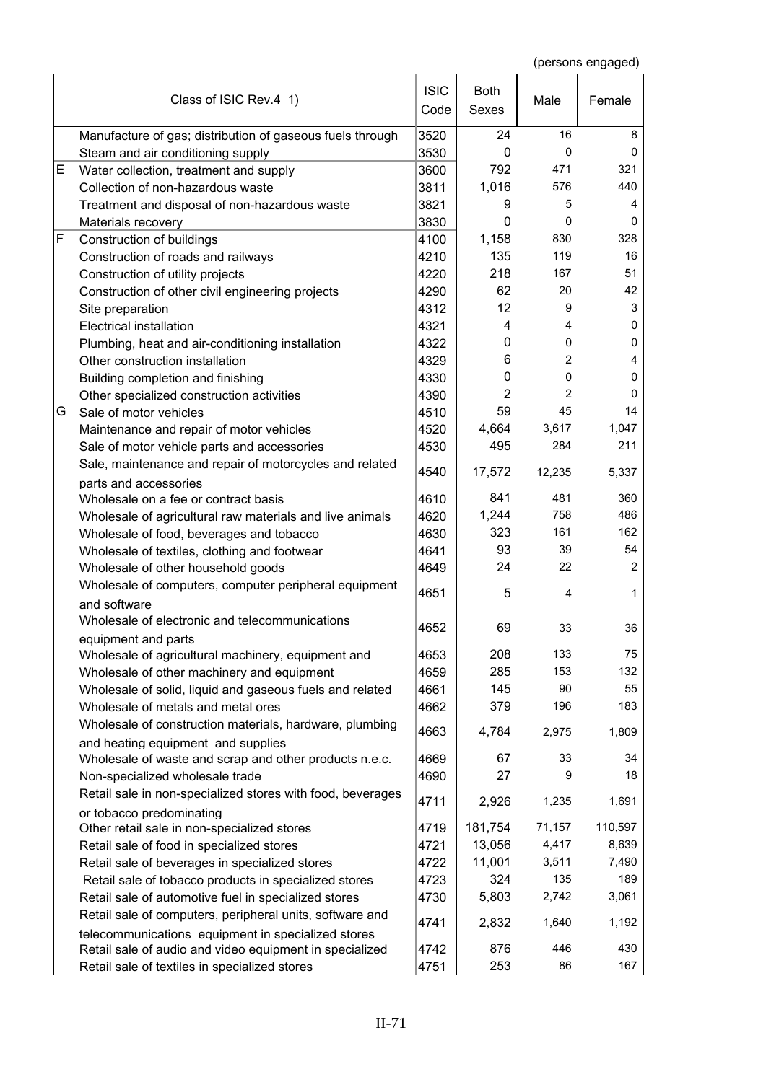|   | Class of ISIC Rev.4 1)                                                                       | <b>ISIC</b><br>Code | <b>Both</b><br>Sexes | Male           | Female         |
|---|----------------------------------------------------------------------------------------------|---------------------|----------------------|----------------|----------------|
|   |                                                                                              |                     |                      |                |                |
|   | Manufacture of gas; distribution of gaseous fuels through                                    | 3520                | 24                   | 16             | 8              |
|   | Steam and air conditioning supply                                                            | 3530                | 0                    | $\mathbf 0$    | 0              |
| E | Water collection, treatment and supply                                                       | 3600                | 792                  | 471            | 321            |
|   | Collection of non-hazardous waste                                                            | 3811                | 1,016                | 576            | 440            |
|   | Treatment and disposal of non-hazardous waste                                                | 3821                | 9                    | 5              | 4              |
|   | Materials recovery                                                                           | 3830                | $\mathbf 0$          | $\mathbf 0$    | 0              |
| F | Construction of buildings                                                                    | 4100                | 1,158                | 830            | 328            |
|   | Construction of roads and railways                                                           | 4210                | 135                  | 119            | 16             |
|   | Construction of utility projects                                                             | 4220                | 218                  | 167            | 51             |
|   | Construction of other civil engineering projects                                             | 4290                | 62                   | 20             | 42             |
|   | Site preparation                                                                             | 4312                | 12                   | 9              | 3              |
|   | <b>Electrical installation</b>                                                               | 4321                | 4                    | 4              | 0              |
|   | Plumbing, heat and air-conditioning installation                                             | 4322                | 0                    | 0              | 0              |
|   | Other construction installation                                                              | 4329                | 6                    | $\overline{2}$ | 4              |
|   | Building completion and finishing                                                            | 4330                | 0                    | $\mathbf 0$    | 0              |
|   | Other specialized construction activities                                                    | 4390                | $\overline{2}$       | $\overline{2}$ | 0              |
| G | Sale of motor vehicles                                                                       | 4510                | 59                   | 45             | 14             |
|   | Maintenance and repair of motor vehicles                                                     | 4520                | 4,664                | 3,617          | 1,047          |
|   | Sale of motor vehicle parts and accessories                                                  | 4530                | 495                  | 284            | 211            |
|   | Sale, maintenance and repair of motorcycles and related                                      | 4540                | 17,572               | 12,235         | 5,337          |
|   | parts and accessories<br>Wholesale on a fee or contract basis                                | 4610                | 841                  | 481            | 360            |
|   | Wholesale of agricultural raw materials and live animals                                     | 4620                | 1,244                | 758            | 486            |
|   | Wholesale of food, beverages and tobacco                                                     | 4630                | 323                  | 161            | 162            |
|   | Wholesale of textiles, clothing and footwear                                                 | 4641                | 93                   | 39             | 54             |
|   | Wholesale of other household goods                                                           | 4649                | 24                   | 22             | $\overline{2}$ |
|   | Wholesale of computers, computer peripheral equipment                                        |                     |                      |                |                |
|   | and software                                                                                 | 4651                | 5                    | 4              | 1              |
|   | Wholesale of electronic and telecommunications                                               | 4652                | 69                   | 33             | 36             |
|   | equipment and parts                                                                          |                     |                      |                |                |
|   | Wholesale of agricultural machinery, equipment and                                           | 4653                | 208                  | 133            | 75             |
|   | Wholesale of other machinery and equipment                                                   | 4659                | 285                  | 153            | 132            |
|   | Wholesale of solid, liquid and gaseous fuels and related                                     | 4661                | 145                  | 90             | 55             |
|   | Wholesale of metals and metal ores                                                           | 4662                | 379                  | 196            | 183            |
|   | Wholesale of construction materials, hardware, plumbing                                      | 4663                | 4,784                | 2,975          | 1,809          |
|   | and heating equipment and supplies<br>Wholesale of waste and scrap and other products n.e.c. | 4669                | 67                   | 33             | 34             |
|   |                                                                                              | 4690                | 27                   | 9              | 18             |
|   | Non-specialized wholesale trade                                                              |                     |                      |                |                |
|   | Retail sale in non-specialized stores with food, beverages<br>or tobacco predominating       | 4711                | 2,926                | 1,235          | 1,691          |
|   | Other retail sale in non-specialized stores                                                  | 4719                | 181,754              | 71,157         | 110,597        |
|   | Retail sale of food in specialized stores                                                    | 4721                | 13,056               | 4,417          | 8,639          |
|   | Retail sale of beverages in specialized stores                                               | 4722                | 11,001               | 3,511          | 7,490          |
|   | Retail sale of tobacco products in specialized stores                                        | 4723                | 324                  | 135            | 189            |
|   | Retail sale of automotive fuel in specialized stores                                         | 4730                | 5,803                | 2,742          | 3,061          |
|   | Retail sale of computers, peripheral units, software and                                     | 4741                | 2,832                | 1,640          | 1,192          |
|   | telecommunications equipment in specialized stores                                           |                     |                      |                |                |
|   | Retail sale of audio and video equipment in specialized                                      | 4742                | 876                  | 446            | 430            |
|   | Retail sale of textiles in specialized stores                                                | 4751                | 253                  | 86             | 167            |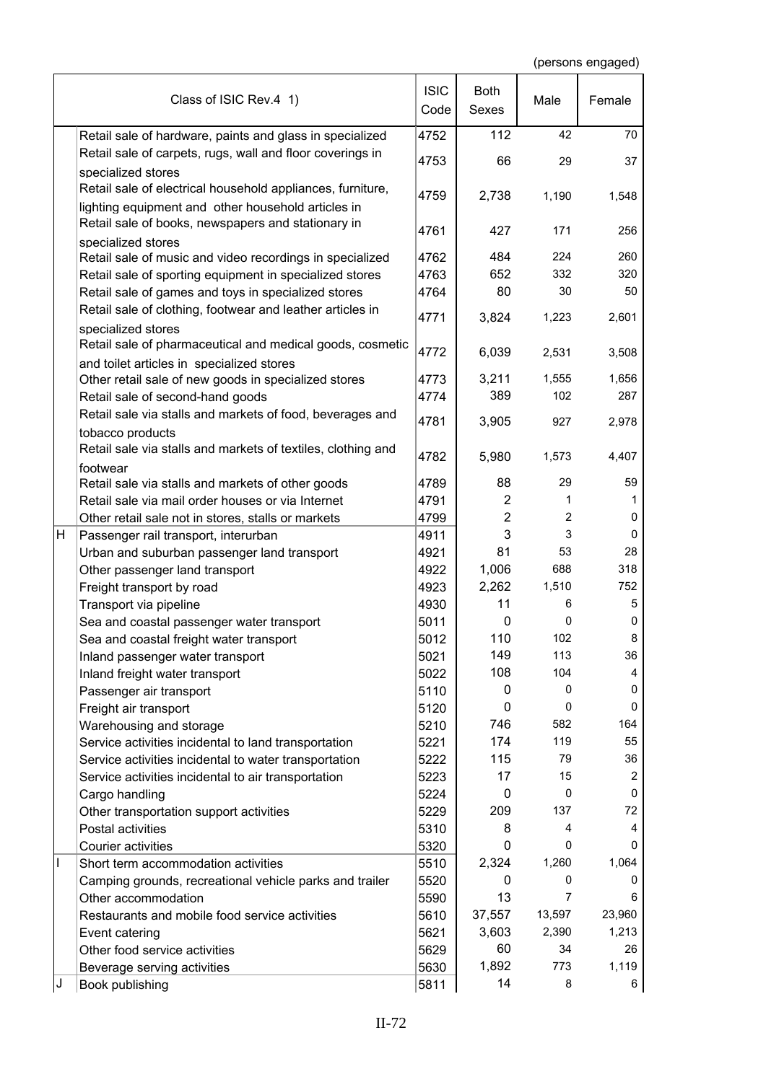|   | Class of ISIC Rev.4 1)                                                                                           | <b>ISIC</b><br>Code | <b>Both</b><br>Sexes | Male           | Female |
|---|------------------------------------------------------------------------------------------------------------------|---------------------|----------------------|----------------|--------|
|   | Retail sale of hardware, paints and glass in specialized                                                         | 4752                | 112                  | 42             | 70     |
|   | Retail sale of carpets, rugs, wall and floor coverings in<br>specialized stores                                  | 4753                | 66                   | 29             | 37     |
|   | Retail sale of electrical household appliances, furniture,<br>lighting equipment and other household articles in | 4759                | 2,738                | 1,190          | 1,548  |
|   | Retail sale of books, newspapers and stationary in                                                               | 4761                | 427                  | 171            | 256    |
|   | specialized stores<br>Retail sale of music and video recordings in specialized                                   | 4762                | 484                  | 224            | 260    |
|   | Retail sale of sporting equipment in specialized stores                                                          | 4763                | 652                  | 332            | 320    |
|   | Retail sale of games and toys in specialized stores                                                              | 4764                | 80                   | 30             | 50     |
|   | Retail sale of clothing, footwear and leather articles in<br>specialized stores                                  | 4771                | 3,824                | 1,223          | 2,601  |
|   | Retail sale of pharmaceutical and medical goods, cosmetic<br>and toilet articles in specialized stores           | 4772                | 6,039                | 2,531          | 3,508  |
|   | Other retail sale of new goods in specialized stores                                                             | 4773                | 3,211                | 1,555          | 1,656  |
|   | Retail sale of second-hand goods                                                                                 | 4774                | 389                  | 102            | 287    |
|   | Retail sale via stalls and markets of food, beverages and                                                        | 4781                | 3,905                | 927            | 2,978  |
|   | tobacco products<br>Retail sale via stalls and markets of textiles, clothing and                                 |                     |                      |                |        |
|   | footwear                                                                                                         | 4782                | 5,980                | 1,573          | 4,407  |
|   | Retail sale via stalls and markets of other goods                                                                | 4789                | 88                   | 29             | 59     |
|   | Retail sale via mail order houses or via Internet                                                                | 4791                | $\overline{c}$       | 1              | 1      |
|   | Other retail sale not in stores, stalls or markets                                                               | 4799                | $\overline{2}$       | $\overline{2}$ | 0      |
| н | Passenger rail transport, interurban                                                                             | 4911                | 3                    | 3              | 0      |
|   | Urban and suburban passenger land transport                                                                      | 4921                | 81                   | 53             | 28     |
|   | Other passenger land transport                                                                                   | 4922                | 1,006                | 688            | 318    |
|   | Freight transport by road                                                                                        | 4923                | 2,262                | 1,510          | 752    |
|   | Transport via pipeline                                                                                           | 4930                | 11                   | 6              | 5      |
|   | Sea and coastal passenger water transport                                                                        | 5011                | 0                    | 0              | 0      |
|   | Sea and coastal freight water transport                                                                          | 5012                | 110                  | 102            | 8      |
|   | Inland passenger water transport                                                                                 | 5021                | 149                  | 113            | 36     |
|   | Inland freight water transport                                                                                   | 5022                | 108                  | 104            | 4      |
|   | Passenger air transport                                                                                          | 5110                | 0                    | 0              | 0      |
|   | Freight air transport                                                                                            | 5120                | 0                    | $\mathbf 0$    | 0      |
|   | Warehousing and storage                                                                                          | 5210                | 746                  | 582            | 164    |
|   | Service activities incidental to land transportation                                                             | 5221                | 174                  | 119            | 55     |
|   | Service activities incidental to water transportation                                                            | 5222                | 115                  | 79             | 36     |
|   | Service activities incidental to air transportation                                                              | 5223                | 17                   | 15             | 2      |
|   | Cargo handling                                                                                                   | 5224                | 0                    | $\mathbf 0$    | 0      |
|   | Other transportation support activities                                                                          | 5229                | 209                  | 137            | 72     |
|   | Postal activities                                                                                                | 5310                | 8                    | 4              | 4      |
|   | Courier activities                                                                                               | 5320                | 0                    | 0              | 0      |
| I | Short term accommodation activities                                                                              | 5510                | 2,324                | 1,260          | 1,064  |
|   | Camping grounds, recreational vehicle parks and trailer                                                          | 5520                | 0                    | 0              | 0      |
|   | Other accommodation                                                                                              | 5590                | 13                   | $\overline{7}$ | 6      |
|   | Restaurants and mobile food service activities                                                                   | 5610                | 37,557               | 13,597         | 23,960 |
|   | Event catering                                                                                                   | 5621                | 3,603                | 2,390          | 1,213  |
|   | Other food service activities                                                                                    | 5629                | 60                   | 34             | 26     |
|   | Beverage serving activities                                                                                      | 5630                | 1,892                | 773            | 1,119  |
| J | Book publishing                                                                                                  | 5811                | 14                   | 8              | 6      |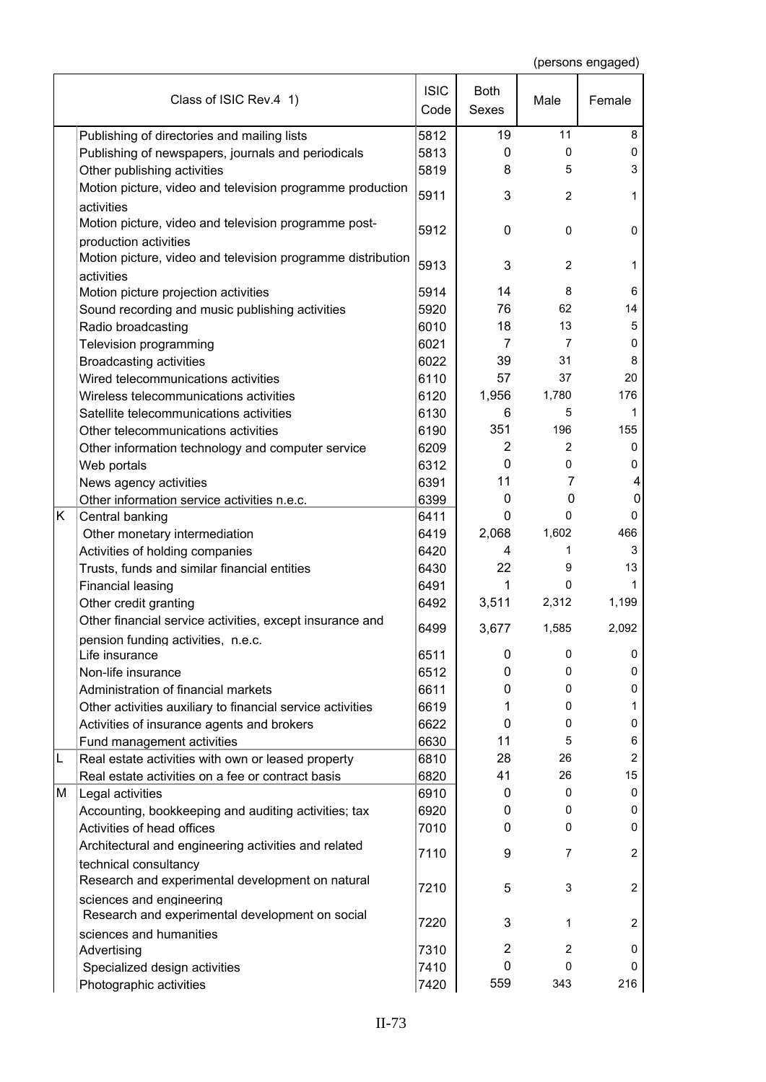|    | Class of ISIC Rev.4 1)                                                                  | <b>ISIC</b><br>Code | <b>Both</b><br>Sexes | Male           | Female         |
|----|-----------------------------------------------------------------------------------------|---------------------|----------------------|----------------|----------------|
|    | Publishing of directories and mailing lists                                             | 5812                | 19                   | 11             | 8              |
|    | Publishing of newspapers, journals and periodicals                                      | 5813                | $\mathbf{0}$         | 0              | 0              |
|    | Other publishing activities                                                             | 5819                | 8                    | 5              | 3              |
|    | Motion picture, video and television programme production                               | 5911                | 3                    | $\overline{2}$ | 1              |
|    | activities                                                                              |                     |                      |                |                |
|    | Motion picture, video and television programme post-                                    | 5912                | $\mathbf 0$          | 0              | 0              |
|    | production activities                                                                   |                     |                      |                |                |
|    | Motion picture, video and television programme distribution                             | 5913                | 3                    | 2              | 1              |
|    | activities                                                                              | 5914                | 14                   | 8              | 6              |
|    | Motion picture projection activities<br>Sound recording and music publishing activities | 5920                | 76                   | 62             | 14             |
|    | Radio broadcasting                                                                      | 6010                | 18                   | 13             | 5              |
|    | Television programming                                                                  | 6021                | 7                    | 7              | 0              |
|    | <b>Broadcasting activities</b>                                                          | 6022                | 39                   | 31             | 8              |
|    | Wired telecommunications activities                                                     | 6110                | 57                   | 37             | 20             |
|    | Wireless telecommunications activities                                                  | 6120                | 1,956                | 1,780          | 176            |
|    | Satellite telecommunications activities                                                 | 6130                | 6                    | 5              | 1              |
|    | Other telecommunications activities                                                     | 6190                | 351                  | 196            | 155            |
|    | Other information technology and computer service                                       | 6209                | $\overline{2}$       | $\overline{2}$ | 0              |
|    | Web portals                                                                             | 6312                | $\mathbf{0}$         | 0              | 0              |
|    | News agency activities                                                                  | 6391                | 11                   | 7              | 4              |
|    | Other information service activities n.e.c.                                             | 6399                | $\mathbf{0}$         | 0              | 0              |
| K. | Central banking                                                                         | 6411                | 0                    | 0              | 0              |
|    | Other monetary intermediation                                                           | 6419                | 2,068                | 1,602          | 466            |
|    | Activities of holding companies                                                         | 6420                | 4                    | 1              | 3              |
|    | Trusts, funds and similar financial entities                                            | 6430                | 22                   | 9              | 13             |
|    | <b>Financial leasing</b>                                                                | 6491                | 1                    | 0              | 1              |
|    | Other credit granting                                                                   | 6492                | 3,511                | 2,312          | 1,199          |
|    | Other financial service activities, except insurance and                                | 6499                | 3,677                | 1,585          | 2,092          |
|    | pension funding activities, n.e.c.                                                      |                     |                      |                |                |
|    | Life insurance                                                                          | 6511                | 0                    | 0              | 0              |
|    | Non-life insurance                                                                      | 6512                | 0                    | 0              | 0              |
|    | Administration of financial markets                                                     | 6611                | 0                    | 0              | 0              |
|    | Other activities auxiliary to financial service activities                              | 6619                | 1                    | 0              | 1              |
|    | Activities of insurance agents and brokers                                              | 6622                | $\mathbf{0}$         | 0              | 0              |
|    | Fund management activities                                                              | 6630                | 11                   | 5              | 6              |
| L  | Real estate activities with own or leased property                                      | 6810                | 28                   | 26             | $\overline{c}$ |
|    | Real estate activities on a fee or contract basis                                       | 6820                | 41                   | 26             | 15             |
| M  | Legal activities                                                                        | 6910                | 0                    | 0<br>0         | 0<br>0         |
|    | Accounting, bookkeeping and auditing activities; tax                                    | 6920                | 0<br>0               | 0              | 0              |
|    | Activities of head offices                                                              | 7010                |                      |                |                |
|    | Architectural and engineering activities and related                                    | 7110                | 9                    | $\overline{7}$ | $\overline{c}$ |
|    | technical consultancy<br>Research and experimental development on natural               | 7210                | 5                    | 3              | 2              |
|    | sciences and engineering                                                                |                     |                      |                |                |
|    | Research and experimental development on social                                         | 7220                | 3                    | 1              | 2              |
|    | sciences and humanities                                                                 |                     |                      |                |                |
|    | Advertising                                                                             | 7310                | $\overline{2}$       | 2              | 0              |
|    | Specialized design activities                                                           | 7410                | $\mathbf{0}$         | 0              | 0              |
|    | Photographic activities                                                                 | 7420                | 559                  | 343            | 216            |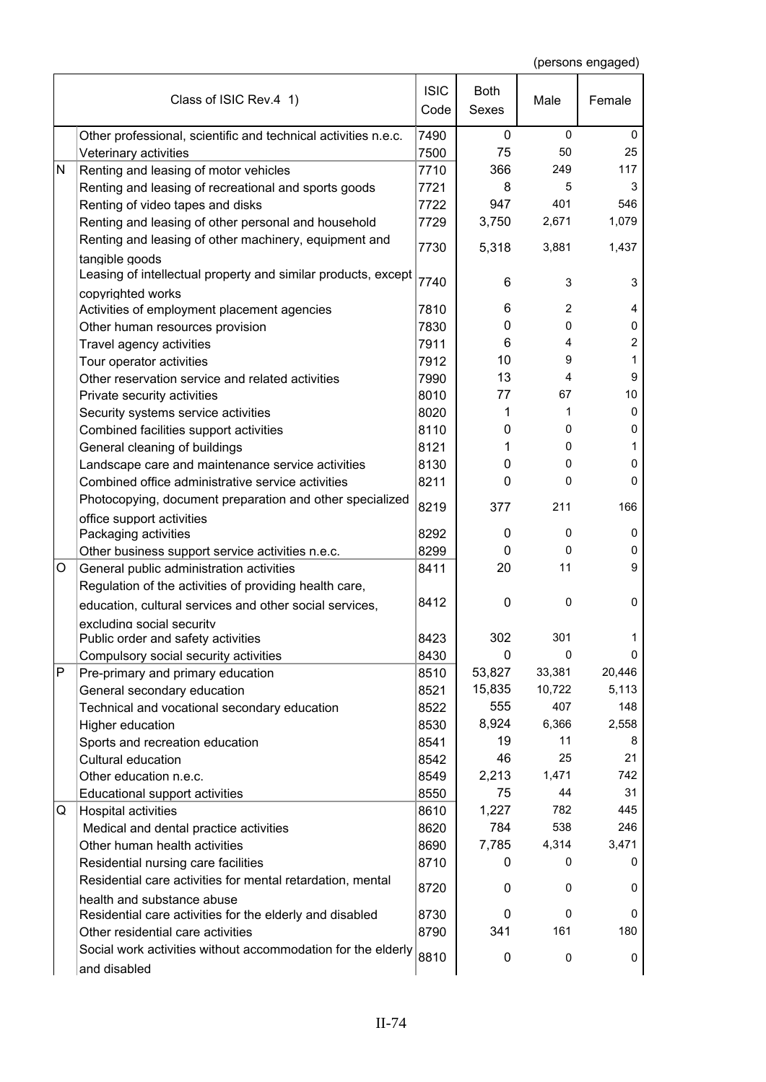|              | Class of ISIC Rev.4 1)                                                                                 | <b>ISIC</b><br>Code | <b>Both</b><br><b>Sexes</b> | Male           | Female |
|--------------|--------------------------------------------------------------------------------------------------------|---------------------|-----------------------------|----------------|--------|
|              | Other professional, scientific and technical activities n.e.c.                                         | 7490                | $\mathbf{0}$                | $\mathbf 0$    | 0      |
|              | Veterinary activities                                                                                  | 7500                | 75                          | 50             | 25     |
| N            | Renting and leasing of motor vehicles                                                                  | 7710                | 366                         | 249            | 117    |
|              | Renting and leasing of recreational and sports goods                                                   | 7721                | 8                           | 5              | 3      |
|              | Renting of video tapes and disks                                                                       | 7722                | 947                         | 401            | 546    |
|              | Renting and leasing of other personal and household                                                    | 7729                | 3,750                       | 2,671          | 1,079  |
|              | Renting and leasing of other machinery, equipment and                                                  | 7730                | 5,318                       | 3,881          | 1,437  |
|              | tangible goods<br>Leasing of intellectual property and similar products, except                        |                     |                             |                |        |
|              |                                                                                                        | 7740                | 6                           | 3              | 3      |
|              | copyrighted works<br>Activities of employment placement agencies                                       | 7810                | 6                           | $\overline{2}$ | 4      |
|              | Other human resources provision                                                                        | 7830                | 0                           | 0              | 0      |
|              | Travel agency activities                                                                               | 7911                | 6                           | 4              | 2      |
|              | Tour operator activities                                                                               | 7912                | 10                          | 9              | 1      |
|              | Other reservation service and related activities                                                       | 7990                | 13                          | 4              | 9      |
|              |                                                                                                        |                     | 77                          | 67             | 10     |
|              | Private security activities                                                                            | 8010                | 1                           | 1              | 0      |
|              | Security systems service activities                                                                    | 8020                | 0                           | 0              | 0      |
|              | Combined facilities support activities                                                                 | 8110                |                             | 0              | 1      |
|              | General cleaning of buildings                                                                          | 8121<br>8130        | 1<br>0                      | 0              | 0      |
|              | Landscape care and maintenance service activities<br>Combined office administrative service activities |                     | 0                           | 0              | 0      |
|              |                                                                                                        | 8211                |                             |                |        |
|              | Photocopying, document preparation and other specialized<br>office support activities                  | 8219                | 377                         | 211            | 166    |
|              | Packaging activities                                                                                   | 8292                | 0                           | 0              | 0      |
|              | Other business support service activities n.e.c.                                                       | 8299                | 0                           | 0              | 0      |
| O            | General public administration activities                                                               | 8411                | 20                          | 11             | 9      |
|              | Regulation of the activities of providing health care,                                                 |                     |                             |                |        |
|              | education, cultural services and other social services,                                                | 8412                | 0                           | $\mathbf 0$    | 0      |
|              | excluding social security                                                                              |                     |                             |                |        |
|              | Public order and safety activities                                                                     | 8423                | 302                         | 301            | 1      |
|              | Compulsory social security activities                                                                  | 8430                | 0                           | $\mathbf 0$    | 0      |
| $\mathsf{P}$ | Pre-primary and primary education                                                                      | 8510                | 53,827                      | 33,381         | 20,446 |
|              | General secondary education                                                                            | 8521                | 15,835                      | 10,722         | 5,113  |
|              | Technical and vocational secondary education                                                           | 8522                | 555                         | 407            | 148    |
|              | Higher education                                                                                       | 8530                | 8,924                       | 6,366          | 2,558  |
|              | Sports and recreation education                                                                        | 8541                | 19                          | 11             | 8      |
|              | Cultural education                                                                                     | 8542                | 46                          | 25             | 21     |
|              | Other education n.e.c.                                                                                 | 8549                | 2,213                       | 1,471          | 742    |
|              | Educational support activities                                                                         | 8550                | 75                          | 44             | 31     |
| Q            | Hospital activities                                                                                    | 8610                | 1,227                       | 782            | 445    |
|              | Medical and dental practice activities                                                                 | 8620                | 784                         | 538            | 246    |
|              | Other human health activities                                                                          | 8690                | 7,785                       | 4,314          | 3,471  |
|              | Residential nursing care facilities                                                                    | 8710                | 0                           | 0              | 0      |
|              | Residential care activities for mental retardation, mental                                             | 8720                | 0                           | 0              | 0      |
|              | health and substance abuse                                                                             |                     |                             |                |        |
|              | Residential care activities for the elderly and disabled                                               | 8730                | 0                           | 0              | 0      |
|              | Other residential care activities                                                                      | 8790                | 341                         | 161            | 180    |
|              | Social work activities without accommodation for the elderly<br>and disabled                           | 8810                | 0                           | 0              | 0      |